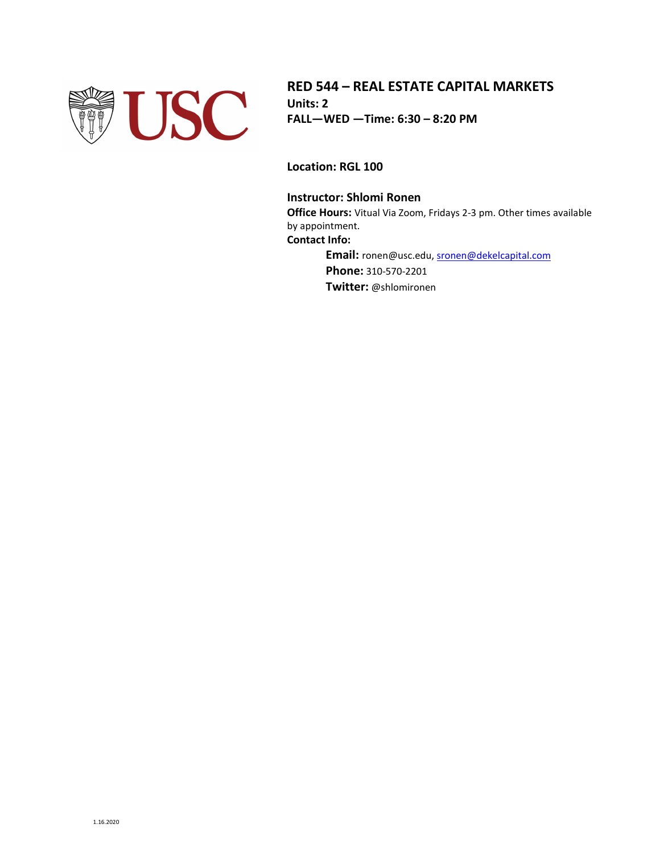

**RED 544 – REAL ESTATE CAPITAL MARKETS Units: 2 FALL—WED —Time: 6:30 – 8:20 PM**

**Location: RGL 100**

## **Instructor: Shlomi Ronen**

**Office Hours:** Vitual Via Zoom, Fridays 2-3 pm. Other times available by appointment. **Contact Info:**

> **Email:** ronen@usc.edu[, sronen@dekelcapital.com](mailto:sronen@dekelcapital.com) **Phone:** 310-570-2201 **Twitter:** @shlomironen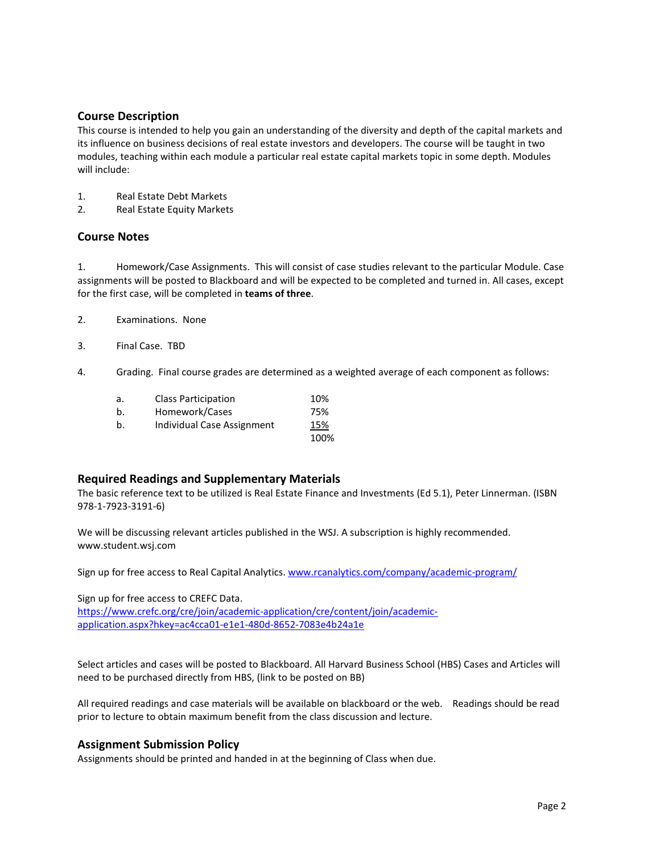## **Course Description**

This course is intended to help you gain an understanding of the diversity and depth of the capital markets and its influence on business decisions of real estate investors and developers. The course will be taught in two modules, teaching within each module a particular real estate capital markets topic in some depth. Modules will include:

- 1. Real Estate Debt Markets
- 2. Real Estate Equity Markets

## **Course Notes**

1. Homework/Case Assignments. This will consist of case studies relevant to the particular Module. Case assignments will be posted to Blackboard and will be expected to be completed and turned in. All cases, except for the first case, will be completed in **teams of three**.

- 2. Examinations. None
- 3. Final Case. TBD
- 4. Grading. Final course grades are determined as a weighted average of each component as follows:

| a. | <b>Class Participation</b> | 10%  |
|----|----------------------------|------|
| b. | Homework/Cases             | 75%  |
| b. | Individual Case Assignment | 15%  |
|    |                            | 100% |

### **Required Readings and Supplementary Materials**

The basic reference text to be utilized is Real Estate Finance and Investments (Ed 5.1), Peter Linnerman. (ISBN 978-1-7923-3191-6)

We will be discussing relevant articles published in the WSJ. A subscription is highly recommended. www.student.wsj.com

Sign up for free access to Real Capital Analytics[. www.rcanalytics.com/company/academic-program/](http://www.rcanalytics.com/company/academic-program/)

Sign up for free access to CREFC Data.

[https://www.crefc.org/cre/join/academic-application/cre/content/join/academic](https://www.crefc.org/cre/join/academic-application/cre/content/join/academic-application.aspx?hkey=ac4cca01-e1e1-480d-8652-7083e4b24a1e)[application.aspx?hkey=ac4cca01-e1e1-480d-8652-7083e4b24a1e](https://www.crefc.org/cre/join/academic-application/cre/content/join/academic-application.aspx?hkey=ac4cca01-e1e1-480d-8652-7083e4b24a1e)

Select articles and cases will be posted to Blackboard. All Harvard Business School (HBS) Cases and Articles will need to be purchased directly from HBS, (link to be posted on BB)

All required readings and case materials will be available on blackboard or the web. Readings should be read prior to lecture to obtain maximum benefit from the class discussion and lecture.

#### **Assignment Submission Policy**

Assignments should be printed and handed in at the beginning of Class when due.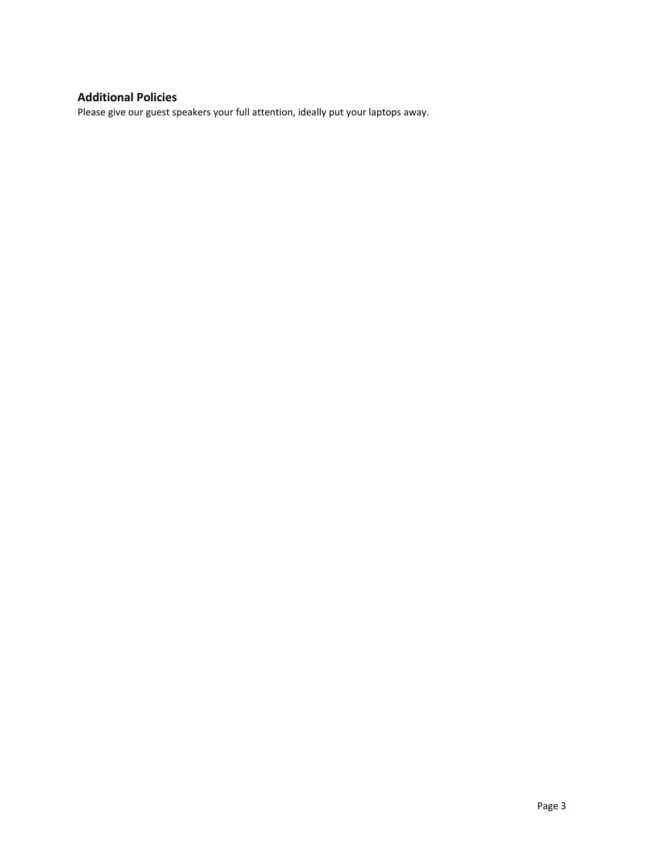# **Additional Policies**

Please give our guest speakers your full attention, ideally put your laptops away.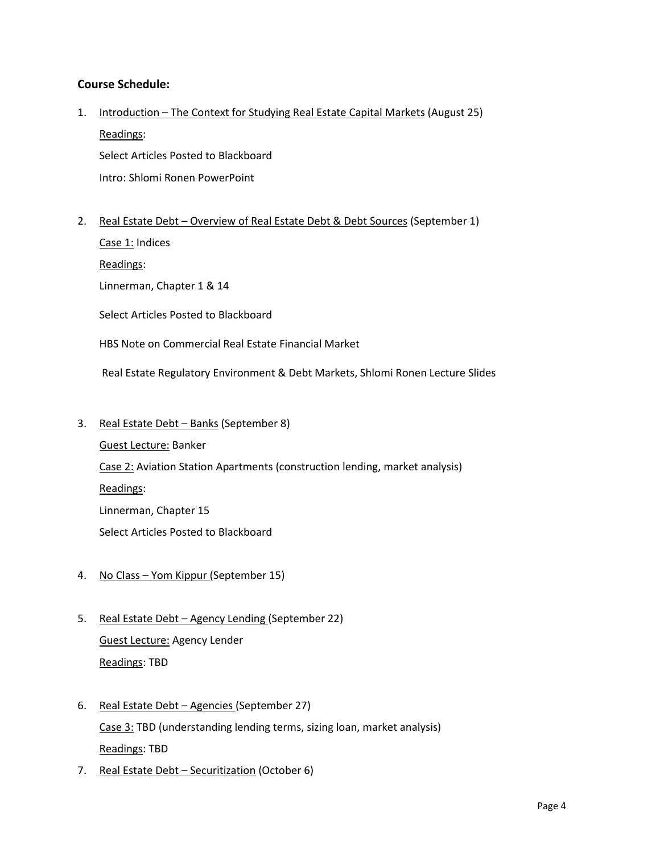## **Course Schedule:**

- 1. Introduction The Context for Studying Real Estate Capital Markets (August 25) Readings: Select Articles Posted to Blackboard Intro: Shlomi Ronen PowerPoint
- 2. Real Estate Debt Overview of Real Estate Debt & Debt Sources (September 1)
	- Case 1: Indices

Readings:

Linnerman, Chapter 1 & 14

Select Articles Posted to Blackboard

HBS Note on Commercial Real Estate Financial Market

Real Estate Regulatory Environment & Debt Markets, Shlomi Ronen Lecture Slides

3. Real Estate Debt - Banks (September 8)

Guest Lecture: Banker Case 2: Aviation Station Apartments (construction lending, market analysis) Readings: Linnerman, Chapter 15 Select Articles Posted to Blackboard

- 4. No Class Yom Kippur (September 15)
- 5. Real Estate Debt Agency Lending (September 22) Guest Lecture: Agency Lender Readings: TBD
- 6. Real Estate Debt Agencies (September 27) Case 3: TBD (understanding lending terms, sizing loan, market analysis) Readings: TBD
- 7. Real Estate Debt Securitization (October 6)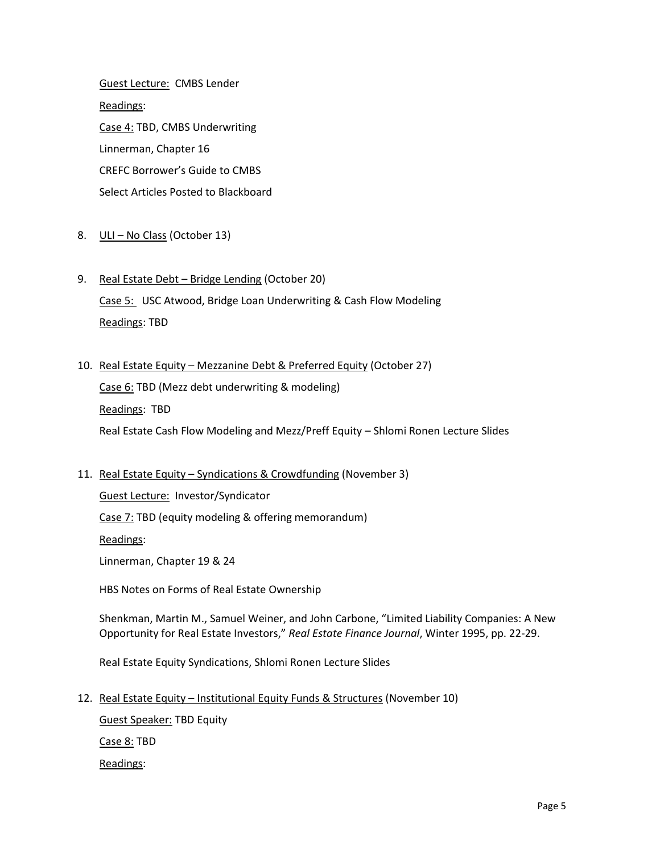Guest Lecture: CMBS Lender Readings: Case 4: TBD, CMBS Underwriting Linnerman, Chapter 16 CREFC Borrower's Guide to CMBS Select Articles Posted to Blackboard

- 8. ULI No Class (October 13)
- 9. Real Estate Debt Bridge Lending (October 20)

Case 5: USC Atwood, Bridge Loan Underwriting & Cash Flow Modeling Readings: TBD

10. Real Estate Equity – Mezzanine Debt & Preferred Equity (October 27)

Case 6: TBD (Mezz debt underwriting & modeling)

Readings: TBD

Real Estate Cash Flow Modeling and Mezz/Preff Equity – Shlomi Ronen Lecture Slides

## 11. Real Estate Equity – Syndications & Crowdfunding (November 3)

Guest Lecture: Investor/Syndicator

Case 7: TBD (equity modeling & offering memorandum)

Readings:

Linnerman, Chapter 19 & 24

HBS Notes on Forms of Real Estate Ownership

Shenkman, Martin M., Samuel Weiner, and John Carbone, "Limited Liability Companies: A New Opportunity for Real Estate Investors," *Real Estate Finance Journal*, Winter 1995, pp. 22-29.

Real Estate Equity Syndications, Shlomi Ronen Lecture Slides

12. Real Estate Equity – Institutional Equity Funds & Structures (November 10)

Guest Speaker: TBD Equity

Case 8: TBD

Readings: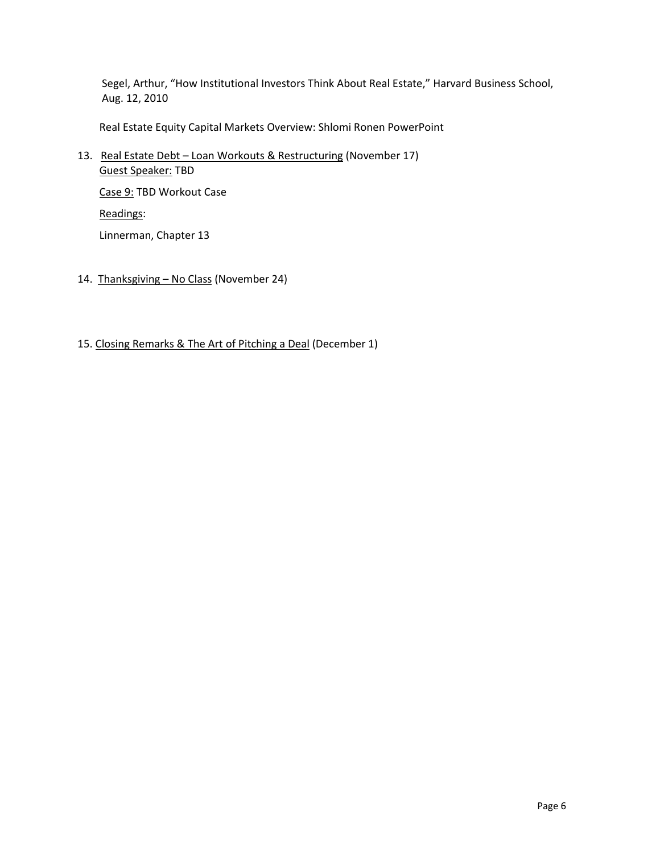Segel, Arthur, "How Institutional Investors Think About Real Estate," Harvard Business School, Aug. 12, 2010

Real Estate Equity Capital Markets Overview: Shlomi Ronen PowerPoint

13. Real Estate Debt - Loan Workouts & Restructuring (November 17) Guest Speaker: TBD

Case 9: TBD Workout Case Readings: Linnerman, Chapter 13

- 14. Thanksgiving No Class (November 24)
- 15. Closing Remarks & The Art of Pitching a Deal (December 1)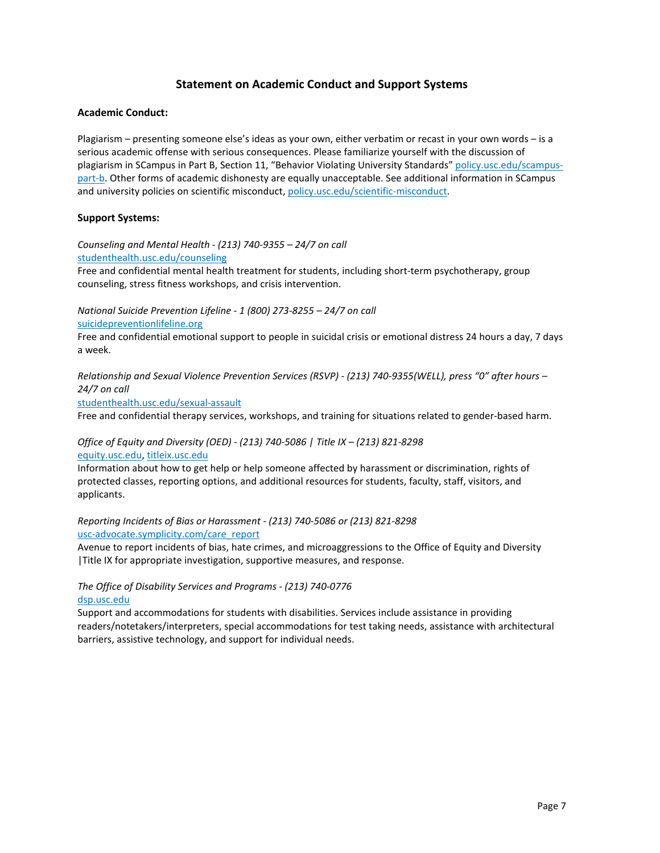## **Statement on Academic Conduct and Support Systems**

#### **Academic Conduct:**

Plagiarism – presenting someone else's ideas as your own, either verbatim or recast in your own words – is a serious academic offense with serious consequences. Please familiarize yourself with the discussion of plagiarism in SCampus in Part B, Section 11, "Behavior Violating University Standards[" policy.usc.edu/scampus](https://policy.usc.edu/scampus-part-b/)[part-b.](https://policy.usc.edu/scampus-part-b/) Other forms of academic dishonesty are equally unacceptable. See additional information in SCampus and university policies on scientific misconduct, [policy.usc.edu/scientific-misconduct.](http://policy.usc.edu/scientific-misconduct)

#### **Support Systems:**

*Counseling and Mental Health - (213) 740-9355 – 24/7 on call* [studenthealth.usc.edu/counseling](https://studenthealth.usc.edu/counseling/) Free and confidential mental health treatment for students, including short-term psychotherapy, group

*National Suicide Prevention Lifeline - 1 (800) 273-8255 – 24/7 on call* [suicidepreventionlifeline.org](http://www.suicidepreventionlifeline.org/)

counseling, stress fitness workshops, and crisis intervention.

Free and confidential emotional support to people in suicidal crisis or emotional distress 24 hours a day, 7 days a week.

*Relationship and Sexual Violence Prevention Services (RSVP) - (213) 740-9355(WELL), press "0" after hours – 24/7 on call*

[studenthealth.usc.edu/sexual-assault](https://studenthealth.usc.edu/sexual-assault/)

Free and confidential therapy services, workshops, and training for situations related to gender-based harm[.](https://engemannshc.usc.edu/rsvp/)

#### *Office of Equity and Diversity (OED) - (213) 740-5086 | Title IX – (213) 821-8298* [equity.usc.edu,](https://equity.usc.edu/) [titleix.usc.edu](http://titleix.usc.edu/)

Information about how to get help or help someone affected by harassment or discrimination, rights of protected classes, reporting options, and additional resources for students, faculty, staff, visitors, and applicants.

#### *Reporting Incidents of Bias or Harassment - (213) 740-5086 or (213) 821-8298* [usc-advocate.symplicity.com/care\\_report](https://usc-advocate.symplicity.com/care_report/)

Avenue to report incidents of bias, hate crimes, and microaggressions to the Office of Equity and Diversity |Title IX for appropriate investigation, supportive measures, and response[.](https://studentaffairs.usc.edu/bias-assessment-response-support/)

#### *The Office of Disability Services and Programs - (213) 740-0776* [dsp.usc.edu](http://dsp.usc.edu/)

Support and accommodations for students with disabilities. Services include assistance in providing readers/notetakers/interpreters, special accommodations for test taking needs, assistance with architectural [ba](http://dsp.usc.edu/)rriers, assistive technology, and support for individual needs.